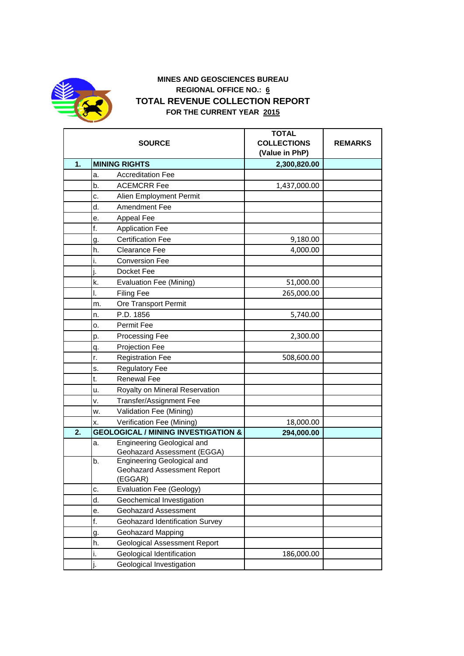

## **MINES AND GEOSCIENCES BUREAU REGIONAL OFFICE NO.: 6 TOTAL REVENUE COLLECTION REPORT FOR THE CURRENT YEAR 2015**

|    | <b>SOURCE</b>                                                   | <b>TOTAL</b><br><b>COLLECTIONS</b><br>(Value in PhP) | <b>REMARKS</b> |
|----|-----------------------------------------------------------------|------------------------------------------------------|----------------|
| 1. | <b>MINING RIGHTS</b>                                            | 2,300,820.00                                         |                |
|    | <b>Accreditation Fee</b><br>a.                                  |                                                      |                |
|    | <b>ACEMCRR Fee</b><br>b.                                        | 1,437,000.00                                         |                |
|    | Alien Employment Permit<br>c.                                   |                                                      |                |
|    | d.<br>Amendment Fee                                             |                                                      |                |
|    | Appeal Fee<br>е.                                                |                                                      |                |
|    | f.<br><b>Application Fee</b>                                    |                                                      |                |
|    | <b>Certification Fee</b><br>g.                                  | 9,180.00                                             |                |
|    | <b>Clearance Fee</b><br>h.                                      | 4,000.00                                             |                |
|    | i.<br><b>Conversion Fee</b>                                     |                                                      |                |
|    | Docket Fee<br>ı.                                                |                                                      |                |
|    | k.<br><b>Evaluation Fee (Mining)</b>                            | 51,000.00                                            |                |
|    | I.<br><b>Filing Fee</b>                                         | 265,000.00                                           |                |
|    | Ore Transport Permit<br>m.                                      |                                                      |                |
|    | P.D. 1856<br>n.                                                 | 5,740.00                                             |                |
|    | Permit Fee<br>о.                                                |                                                      |                |
|    | Processing Fee<br>p.                                            | 2,300.00                                             |                |
|    | <b>Projection Fee</b><br>q.                                     |                                                      |                |
|    | <b>Registration Fee</b><br>r.                                   | 508,600.00                                           |                |
|    | <b>Regulatory Fee</b><br>s.                                     |                                                      |                |
|    | t.<br><b>Renewal Fee</b>                                        |                                                      |                |
|    | Royalty on Mineral Reservation<br>u.                            |                                                      |                |
|    | <b>Transfer/Assignment Fee</b><br>v.                            |                                                      |                |
|    | Validation Fee (Mining)<br>w.                                   |                                                      |                |
|    | Verification Fee (Mining)<br>x.                                 | 18,000.00                                            |                |
| 2. | <b>GEOLOGICAL / MINING INVESTIGATION &amp;</b>                  | 294,000.00                                           |                |
|    | Engineering Geological and<br>a.<br>Geohazard Assessment (EGGA) |                                                      |                |
|    | b.<br>Engineering Geological and                                |                                                      |                |
|    | Geohazard Assessment Report<br>(EGGAR)                          |                                                      |                |
|    | <b>Evaluation Fee (Geology)</b><br>c.                           |                                                      |                |
|    | d.<br>Geochemical Investigation                                 |                                                      |                |
|    | <b>Geohazard Assessment</b><br>е.                               |                                                      |                |
|    | f.<br>Geohazard Identification Survey                           |                                                      |                |
|    | <b>Geohazard Mapping</b><br>g.                                  |                                                      |                |
|    | <b>Geological Assessment Report</b><br>h.                       |                                                      |                |
|    | Geological Identification<br>i.                                 | 186,000.00                                           |                |
|    | j.<br>Geological Investigation                                  |                                                      |                |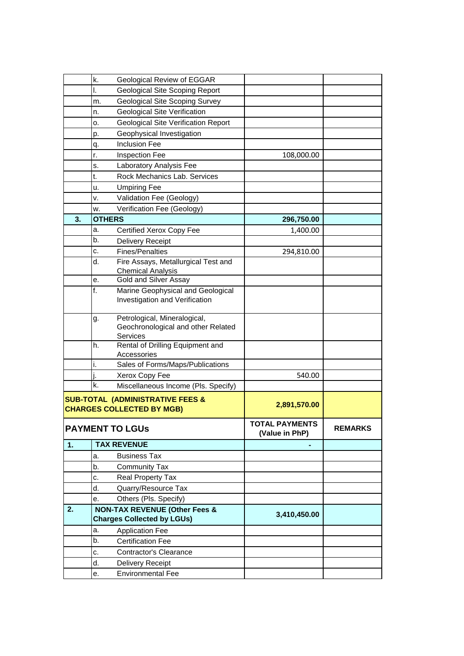|                                                                                 | k. | <b>Geological Review of EGGAR</b>                                              |                                  |                |
|---------------------------------------------------------------------------------|----|--------------------------------------------------------------------------------|----------------------------------|----------------|
|                                                                                 | I. | Geological Site Scoping Report                                                 |                                  |                |
|                                                                                 | m. | <b>Geological Site Scoping Survey</b>                                          |                                  |                |
|                                                                                 | n. | <b>Geological Site Verification</b>                                            |                                  |                |
|                                                                                 | 0. | <b>Geological Site Verification Report</b>                                     |                                  |                |
|                                                                                 | p. | Geophysical Investigation                                                      |                                  |                |
|                                                                                 | q. | <b>Inclusion Fee</b>                                                           |                                  |                |
|                                                                                 | r. | Inspection Fee                                                                 | 108,000.00                       |                |
|                                                                                 | s. | Laboratory Analysis Fee                                                        |                                  |                |
|                                                                                 | t. | Rock Mechanics Lab. Services                                                   |                                  |                |
|                                                                                 | u. | <b>Umpiring Fee</b>                                                            |                                  |                |
|                                                                                 | v. | Validation Fee (Geology)                                                       |                                  |                |
|                                                                                 | w. | Verification Fee (Geology)                                                     |                                  |                |
| 3.                                                                              |    | <b>OTHERS</b>                                                                  | 296,750.00                       |                |
|                                                                                 | a. | Certified Xerox Copy Fee                                                       | 1,400.00                         |                |
|                                                                                 | b. | Delivery Receipt                                                               |                                  |                |
|                                                                                 | c. | <b>Fines/Penalties</b>                                                         | 294,810.00                       |                |
|                                                                                 | d. | Fire Assays, Metallurgical Test and                                            |                                  |                |
|                                                                                 |    | <b>Chemical Analysis</b>                                                       |                                  |                |
|                                                                                 | е. | Gold and Silver Assay                                                          |                                  |                |
|                                                                                 | f. | Marine Geophysical and Geological                                              |                                  |                |
|                                                                                 |    | Investigation and Verification                                                 |                                  |                |
|                                                                                 | g. | Petrological, Mineralogical,<br>Geochronological and other Related<br>Services |                                  |                |
|                                                                                 | h. | Rental of Drilling Equipment and<br>Accessories                                |                                  |                |
|                                                                                 | i. | Sales of Forms/Maps/Publications                                               |                                  |                |
|                                                                                 | i. | Xerox Copy Fee                                                                 | 540.00                           |                |
|                                                                                 | k. | Miscellaneous Income (Pls. Specify)                                            |                                  |                |
| <b>SUB-TOTAL (ADMINISTRATIVE FEES &amp;</b><br><b>CHARGES COLLECTED BY MGB)</b> |    |                                                                                | 2,891,570.00                     |                |
|                                                                                 |    | <b>PAYMENT TO LGUS</b>                                                         | TOTAL PAYMENTS<br>(Value in PhP) | <b>REMARKS</b> |
| 1.                                                                              |    | <b>TAX REVENUE</b>                                                             |                                  |                |
|                                                                                 | a. | <b>Business Tax</b>                                                            |                                  |                |
|                                                                                 | b. | <b>Community Tax</b>                                                           |                                  |                |
|                                                                                 | c. | Real Property Tax                                                              |                                  |                |
|                                                                                 | d. | Quarry/Resource Tax                                                            |                                  |                |
|                                                                                 | е. | Others (Pls. Specify)                                                          |                                  |                |
| 2.                                                                              |    | <b>NON-TAX REVENUE (Other Fees &amp;</b><br><b>Charges Collected by LGUs)</b>  | 3,410,450.00                     |                |
|                                                                                 | a. | <b>Application Fee</b>                                                         |                                  |                |
|                                                                                 | b. | <b>Certification Fee</b>                                                       |                                  |                |
|                                                                                 | c. | <b>Contractor's Clearance</b>                                                  |                                  |                |
|                                                                                 | d. | Delivery Receipt                                                               |                                  |                |
|                                                                                 | е. | <b>Environmental Fee</b>                                                       |                                  |                |
|                                                                                 |    |                                                                                |                                  |                |